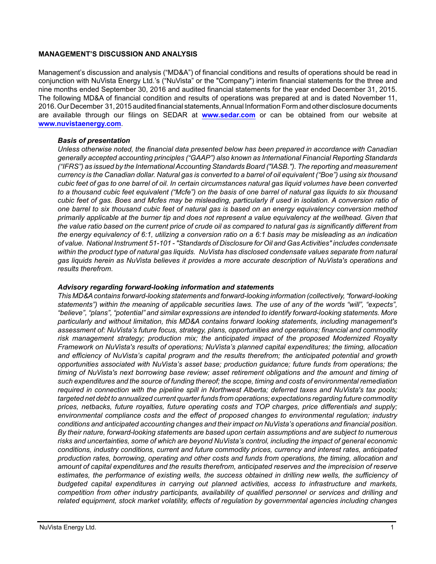#### **MANAGEMENT'S DISCUSSION AND ANALYSIS**

Management's discussion and analysis ("MD&A") of financial conditions and results of operations should be read in conjunction with NuVista Energy Ltd.'s ("NuVista" or the "Company") interim financial statements for the three and nine months ended September 30, 2016 and audited financial statements for the year ended December 31, 2015. The following MD&A of financial condition and results of operations was prepared at and is dated November 11, 2016. Our December 31, 2015 audited financial statements, Annual Information Form and other disclosure documents are available through our filings on SEDAR at **[www.sedar.com](http://www.sedar.com)** or can be obtained from our website at **[www.nuvistaenergy.com](http://www.nuvistaenergy.com)**.

#### *Basis of presentation*

*Unless otherwise noted, the financial data presented below has been prepared in accordance with Canadian generally accepted accounting principles ("GAAP") also known as International Financial Reporting Standards ("IFRS") as issued by the International Accounting Standards Board ("IASB."). The reporting and measurement currency is the Canadian dollar. Natural gas is converted to a barrel of oil equivalent ("Boe") using six thousand cubic feet of gas to one barrel of oil. In certain circumstances natural gas liquid volumes have been converted to a thousand cubic feet equivalent ("Mcfe") on the basis of one barrel of natural gas liquids to six thousand cubic feet of gas. Boes and Mcfes may be misleading, particularly if used in isolation. A conversion ratio of one barrel to six thousand cubic feet of natural gas is based on an energy equivalency conversion method primarily applicable at the burner tip and does not represent a value equivalency at the wellhead. Given that the value ratio based on the current price of crude oil as compared to natural gas is significantly different from the energy equivalency of 6:1, utilizing a conversion ratio on a 6:1 basis may be misleading as an indication of value. National Instrument 51-101 - "Standards of Disclosure for Oil and Gas Activities" includes condensate within the product type of natural gas liquids. NuVista has disclosed condensate values separate from natural gas liquids herein as NuVista believes it provides a more accurate description of NuVista's operations and results therefrom.* 

## *Advisory regarding forward-looking information and statements*

*This MD&A contains forward-looking statements and forward-looking information (collectively, "forward-looking statements") within the meaning of applicable securities laws. The use of any of the words "will", "expects", "believe", "plans", "potential" and similar expressions are intended to identify forward-looking statements. More particularly and without limitation, this MD&A contains forward looking statements, including management's assessment of: NuVista's future focus, strategy, plans, opportunities and operations; financial and commodity risk management strategy; production mix; the anticipated impact of the proposed Modernized Royalty Framework on NuVista's results of operations; NuVista's planned capital expenditures; the timing, allocation and efficiency of NuVista's capital program and the results therefrom; the anticipated potential and growth opportunities associated with NuVista's asset base; production guidance; future funds from operations; the timing of NuVista's next borrowing base review; asset retirement obligations and the amount and timing of such expenditures and the source of funding thereof; the scope, timing and costs of environmental remediation required in connection with the pipeline spill in Northwest Alberta; deferred taxes and NuVista's tax pools; targeted net debt to annualized current quarter funds from operations; expectations regarding future commodity prices, netbacks, future royalties, future operating costs and TOP charges, price differentials and supply; environmental compliance costs and the effect of proposed changes to environmental regulation; industry conditions and anticipated accounting changes and their impact on NuVista's operations and financial position. By their nature, forward-looking statements are based upon certain assumptions and are subject to numerous risks and uncertainties, some of which are beyond NuVista's control, including the impact of general economic conditions, industry conditions, current and future commodity prices, currency and interest rates, anticipated production rates, borrowing, operating and other costs and funds from operations, the timing, allocation and amount of capital expenditures and the results therefrom, anticipated reserves and the imprecision of reserve estimates, the performance of existing wells, the success obtained in drilling new wells, the sufficiency of budgeted capital expenditures in carrying out planned activities, access to infrastructure and markets, competition from other industry participants, availability of qualified personnel or services and drilling and related equipment, stock market volatility, effects of regulation by governmental agencies including changes*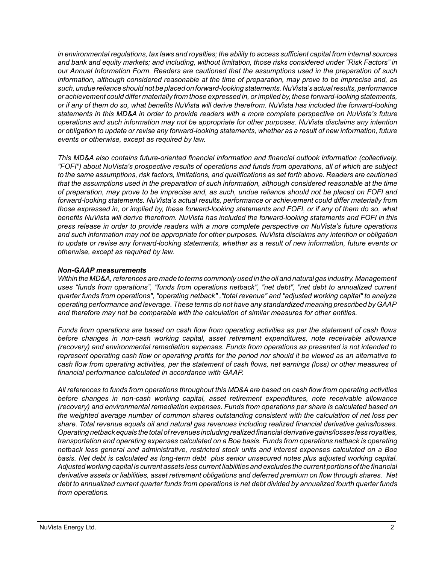*in environmental regulations, tax laws and royalties; the ability to access sufficient capital from internal sources and bank and equity markets; and including, without limitation, those risks considered under "Risk Factors" in our Annual Information Form. Readers are cautioned that the assumptions used in the preparation of such information, although considered reasonable at the time of preparation, may prove to be imprecise and, as such, undue reliance should not be placed on forward-looking statements. NuVista's actual results, performance or achievement could differ materially from those expressed in, or implied by, these forward-looking statements, or if any of them do so, what benefits NuVista will derive therefrom. NuVista has included the forward-looking statements in this MD&A in order to provide readers with a more complete perspective on NuVista's future operations and such information may not be appropriate for other purposes. NuVista disclaims any intention or obligation to update or revise any forward-looking statements, whether as a result of new information, future events or otherwise, except as required by law.*

*This MD&A also contains future-oriented financial information and financial outlook information (collectively, "FOFI") about NuVista's prospective results of operations and funds from operations, all of which are subject to the same assumptions, risk factors, limitations, and qualifications as set forth above. Readers are cautioned that the assumptions used in the preparation of such information, although considered reasonable at the time of preparation, may prove to be imprecise and, as such, undue reliance should not be placed on FOFI and forward-looking statements. NuVista's actual results, performance or achievement could differ materially from those expressed in, or implied by, these forward-looking statements and FOFI, or if any of them do so, what benefits NuVista will derive therefrom. NuVista has included the forward-looking statements and FOFI in this press release in order to provide readers with a more complete perspective on NuVista's future operations and such information may not be appropriate for other purposes. NuVista disclaims any intention or obligation to update or revise any forward-looking statements, whether as a result of new information, future events or otherwise, except as required by law.*

## *Non-GAAP measurements*

*Within the MD&A, references are made to terms commonly used in the oil and natural gas industry. Management uses "funds from operations", "funds from operations netback", "net debt", "net debt to annualized current quarter funds from operations", "operating netback" ,"total revenue" and "adjusted working capital" to analyze operating performance and leverage. These terms do not have any standardized meaning prescribed by GAAP and therefore may not be comparable with the calculation of similar measures for other entities.* 

*Funds from operations are based on cash flow from operating activities as per the statement of cash flows before changes in non-cash working capital, asset retirement expenditures, note receivable allowance (recovery) and environmental remediation expenses. Funds from operations as presented is not intended to represent operating cash flow or operating profits for the period nor should it be viewed as an alternative to cash flow from operating activities, per the statement of cash flows, net earnings (loss) or other measures of financial performance calculated in accordance with GAAP.*

*All references to funds from operations throughout this MD&A are based on cash flow from operating activities before changes in non-cash working capital, asset retirement expenditures, note receivable allowance (recovery) and environmental remediation expenses. Funds from operations per share is calculated based on the weighted average number of common shares outstanding consistent with the calculation of net loss per share. Total revenue equals oil and natural gas revenues including realized financial derivative gains/losses. Operating netback equals the total of revenues including realized financial derivative gains/losses less royalties, transportation and operating expenses calculated on a Boe basis. Funds from operations netback is operating netback less general and administrative, restricted stock units and interest expenses calculated on a Boe basis. Net debt is calculated as long-term debt plus senior unsecured notes plus adjusted working capital. Adjusted working capital is current assets less current liabilities and excludes the current portions of the financial derivative assets or liabilities, asset retirement obligations and deferred premium on flow through shares. Net debt to annualized current quarter funds from operations is net debt divided by annualized fourth quarter funds from operations.*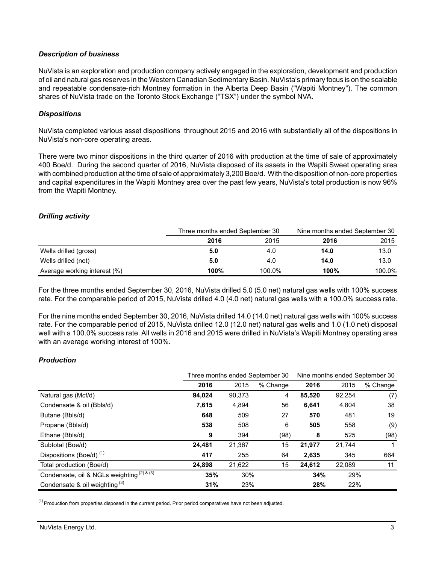## *Description of business*

NuVista is an exploration and production company actively engaged in the exploration, development and production of oil and natural gas reserves in the Western Canadian Sedimentary Basin. NuVista's primary focus is on the scalable and repeatable condensate-rich Montney formation in the Alberta Deep Basin ("Wapiti Montney"). The common shares of NuVista trade on the Toronto Stock Exchange ("TSX") under the symbol NVA.

# *Dispositions*

NuVista completed various asset dispositions throughout 2015 and 2016 with substantially all of the dispositions in NuVista's non-core operating areas.

There were two minor dispositions in the third quarter of 2016 with production at the time of sale of approximately 400 Boe/d. During the second quarter of 2016, NuVista disposed of its assets in the Wapiti Sweet operating area with combined production at the time of sale of approximately 3,200 Boe/d. With the disposition of non-core properties and capital expenditures in the Wapiti Montney area over the past few years, NuVista's total production is now 96% from the Wapiti Montney.

## *Drilling activity*

|                              |      | Three months ended September 30 | Nine months ended September 30 |        |  |
|------------------------------|------|---------------------------------|--------------------------------|--------|--|
|                              | 2016 | 2015                            | 2016                           | 2015   |  |
| Wells drilled (gross)        | 5.0  | 4.0                             | 14.0                           | 13.0   |  |
| Wells drilled (net)          | 5.0  | 4.0                             | 14.0                           | 13.0   |  |
| Average working interest (%) | 100% | 100.0%                          | 100%                           | 100.0% |  |

For the three months ended September 30, 2016, NuVista drilled 5.0 (5.0 net) natural gas wells with 100% success rate. For the comparable period of 2015, NuVista drilled 4.0 (4.0 net) natural gas wells with a 100.0% success rate.

For the nine months ended September 30, 2016, NuVista drilled 14.0 (14.0 net) natural gas wells with 100% success rate. For the comparable period of 2015, NuVista drilled 12.0 (12.0 net) natural gas wells and 1.0 (1.0 net) disposal well with a 100.0% success rate. All wells in 2016 and 2015 were drilled in NuVista's Wapiti Montney operating area with an average working interest of 100%.

## *Production*

|                                            | Three months ended September 30 |        | Nine months ended September 30 |        |        |          |
|--------------------------------------------|---------------------------------|--------|--------------------------------|--------|--------|----------|
|                                            | 2016                            | 2015   | % Change                       | 2016   | 2015   | % Change |
| Natural gas (Mcf/d)                        | 94,024                          | 90,373 | 4                              | 85,520 | 92,254 | (7)      |
| Condensate & oil (Bbls/d)                  | 7,615                           | 4,894  | 56                             | 6,641  | 4,804  | 38       |
| Butane (Bbls/d)                            | 648                             | 509    | 27                             | 570    | 481    | 19       |
| Propane (Bbls/d)                           | 538                             | 508    | 6                              | 505    | 558    | (9)      |
| Ethane (Bbls/d)                            | 9                               | 394    | (98)                           | 8      | 525    | (98)     |
| Subtotal (Boe/d)                           | 24,481                          | 21,367 | 15                             | 21,977 | 21,744 |          |
| Dispositions (Boe/d) <sup>(1)</sup>        | 417                             | 255    | 64                             | 2,635  | 345    | 664      |
| Total production (Boe/d)                   | 24.898                          | 21,622 | 15                             | 24,612 | 22.089 | 11       |
| Condensate, oil & NGLs weighting (2) & (3) | 35%                             | 30%    |                                | 34%    | 29%    |          |
| Condensate & oil weighting $(3)$           | 31%                             | 23%    |                                | 28%    | 22%    |          |

 $<sup>(1)</sup>$  Production from properties disposed in the current period. Prior period comparatives have not been adjusted.</sup>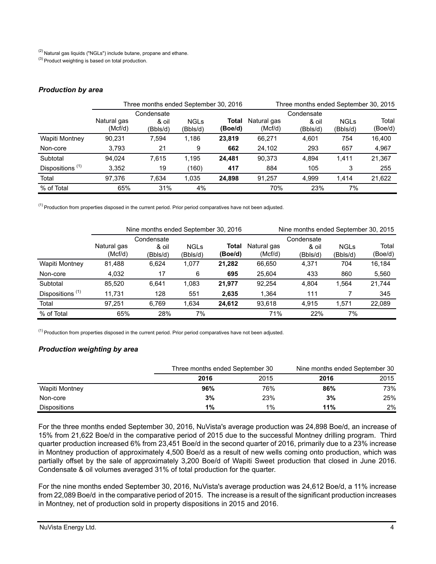$(2)$  Natural gas liquids ("NGLs") include butane, propane and ethane.

 $^{(3)}$  Product weighting is based on total production.

## *Production by area*

|                             | Three months ended September 30, 2016 |            |             |         | Three months ended September 30, 2015 |            |             |         |
|-----------------------------|---------------------------------------|------------|-------------|---------|---------------------------------------|------------|-------------|---------|
|                             |                                       | Condensate |             |         |                                       | Condensate |             |         |
|                             | Natural gas                           | & oil      | <b>NGLs</b> | Total   | Natural gas                           | & oil      | <b>NGLs</b> | Total   |
|                             | (Mcf/d)                               | (Bbls/d)   | (Bbls/d)    | (Boe/d) | (Mcf/d)                               | (Bbls/d)   | (Bbls/d)    | (Boe/d) |
| Wapiti Montney              | 90.231                                | 7,594      | 1,186       | 23.819  | 66,271                                | 4,601      | 754         | 16,400  |
| Non-core                    | 3.793                                 | 21         | 9           | 662     | 24,102                                | 293        | 657         | 4,967   |
| Subtotal                    | 94.024                                | 7,615      | 1,195       | 24.481  | 90,373                                | 4.894      | 1,411       | 21,367  |
| Dispositions <sup>(1)</sup> | 3,352                                 | 19         | (160)       | 417     | 884                                   | 105        | 3           | 255     |
| Total                       | 97.376                                | 7,634      | 1,035       | 24,898  | 91.257                                | 4.999      | 1,414       | 21,622  |
| % of Total                  | 65%                                   | 31%        | 4%          |         | 70%                                   | 23%        | 7%          |         |

 $<sup>(1)</sup>$  Production from properties disposed in the current period. Prior period comparatives have not been adjusted.</sup>

|                             | Nine months ended September 30, 2016 |                   |                         |                  | Nine months ended September 30, 2015 |                   |                         |                  |
|-----------------------------|--------------------------------------|-------------------|-------------------------|------------------|--------------------------------------|-------------------|-------------------------|------------------|
|                             |                                      | Condensate        |                         |                  |                                      | Condensate        |                         |                  |
|                             | Natural gas<br>(Mcf/d)               | & oil<br>(Bbls/d) | <b>NGLs</b><br>(Bbls/d) | Total<br>(Boe/d) | Natural gas<br>(Mcf/d)               | & oil<br>(Bbls/d) | <b>NGLs</b><br>(Bbls/d) | Total<br>(Boe/d) |
| Wapiti Montney              | 81,488                               | 6,624             | 1,077                   | 21,282           | 66,650                               | 4,371             | 704                     | 16,184           |
| Non-core                    | 4,032                                | 17                | 6                       | 695              | 25,604                               | 433               | 860                     | 5,560            |
| Subtotal                    | 85.520                               | 6.641             | 1.083                   | 21,977           | 92.254                               | 4.804             | 1.564                   | 21.744           |
| Dispositions <sup>(1)</sup> | 11,731                               | 128               | 551                     | 2,635            | 1,364                                | 111               |                         | 345              |
| Total                       | 97,251                               | 6,769             | 1,634                   | 24,612           | 93,618                               | 4.915             | 1.571                   | 22,089           |
| % of Total                  | 65%                                  | 28%               | 7%                      |                  | 71%                                  | 22%               | 7%                      |                  |

 $<sup>(1)</sup>$  Production from properties disposed in the current period. Prior period comparatives have not been adjusted.</sup>

# *Production weighting by area*

|                     | Three months ended September 30 |      | Nine months ended September 30 |      |  |
|---------------------|---------------------------------|------|--------------------------------|------|--|
|                     | 2016                            | 2015 | 2016                           | 2015 |  |
| Wapiti Montney      | 96%                             | 76%  | 86%                            | 73%  |  |
| Non-core            | 3%                              | 23%  | 3%                             | 25%  |  |
| <b>Dispositions</b> | 1%                              | 1%   | 11%                            | 2%   |  |

For the three months ended September 30, 2016, NuVista's average production was 24,898 Boe/d, an increase of 15% from 21,622 Boe/d in the comparative period of 2015 due to the successful Montney drilling program. Third quarter production increased 6% from 23,451 Boe/d in the second quarter of 2016, primarily due to a 23% increase in Montney production of approximately 4,500 Boe/d as a result of new wells coming onto production, which was partially offset by the sale of approximately 3,200 Boe/d of Wapiti Sweet production that closed in June 2016. Condensate & oil volumes averaged 31% of total production for the quarter.

For the nine months ended September 30, 2016, NuVista's average production was 24,612 Boe/d, a 11% increase from 22,089 Boe/d in the comparative period of 2015. The increase is a result of the significant production increases in Montney, net of production sold in property dispositions in 2015 and 2016.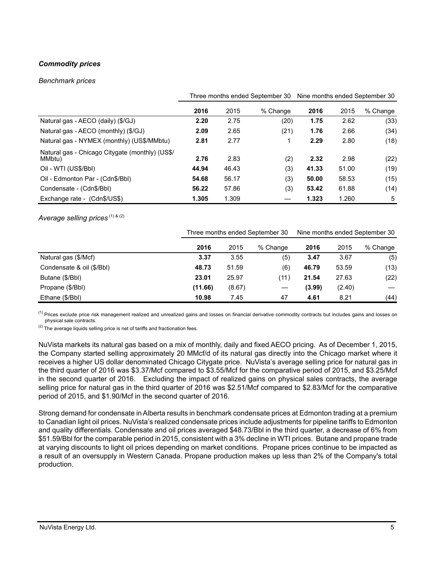# *Commodity prices*

#### *Benchmark prices*

|                                                           | Three months ended September 30 |       |          | Nine months ended September 30 |       |          |
|-----------------------------------------------------------|---------------------------------|-------|----------|--------------------------------|-------|----------|
|                                                           | 2016                            | 2015  | % Change | 2016                           | 2015  | % Change |
| Natural gas - AECO (daily) (\$/GJ)                        | 2.20                            | 2.75  | (20)     | 1.75                           | 2.62  | (33)     |
| Natural gas - AECO (monthly) (\$/GJ)                      | 2.09                            | 2.65  | (21)     | 1.76                           | 2.66  | (34)     |
| Natural gas - NYMEX (monthly) (US\$/MMbtu)                | 2.81                            | 2.77  |          | 2.29                           | 2.80  | (18)     |
| Natural gas - Chicago Citygate (monthly) (US\$/<br>MMbtu) | 2.76                            | 2.83  | (2)      | 2.32                           | 2.98  | (22)     |
| Oil - WTI (US\$/BbI)                                      | 44.94                           | 46.43 | (3)      | 41.33                          | 51.00 | (19)     |
| Oil - Edmonton Par - (Cdn\$/Bbl)                          | 54.68                           | 56.17 | (3)      | 50.00                          | 58.53 | (15)     |
| Condensate - (Cdn\$/Bbl)                                  | 56.22                           | 57.86 | (3)      | 53.42                          | 61.88 | (14)     |
| Exchange rate - (Cdn\$/US\$)                              | 1.305                           | 1.309 |          | 1.323                          | 1.260 | 5        |

*Average selling prices*<sup>(1) & (2)</sup>

|                           |         | Three months ended September 30 | Nine months ended September 30 |        |        |          |
|---------------------------|---------|---------------------------------|--------------------------------|--------|--------|----------|
|                           | 2016    | 2015                            | % Change                       | 2016   | 2015   | % Change |
| Natural gas (\$/Mcf)      | 3.37    | 3.55                            | (5)                            | 3.47   | 3.67   | (5)      |
| Condensate & oil (\$/Bbl) | 48.73   | 51.59                           | (6)                            | 46.79  | 53.59  | (13)     |
| Butane (\$/Bbl)           | 23.01   | 25.97                           | (11)                           | 21.54  | 27.63  | (22)     |
| Propane (\$/Bbl)          | (11.66) | (8.67)                          |                                | (3.99) | (2.40) |          |
| Ethane (\$/Bbl)           | 10.98   | 7.45                            | 47                             | 4.61   | 8.21   | (44)     |

<sup>(1)</sup> Prices exclude price risk management realized and unrealized gains and losses on financial derivative commodity contracts but includes gains and losses on physical sale contracts.

 $(2)$  The average liquids selling price is net of tariffs and fractionation fees.

NuVista markets its natural gas based on a mix of monthly, daily and fixed AECO pricing. As of December 1, 2015, the Company started selling approximately 20 MMcf/d of its natural gas directly into the Chicago market where it receives a higher US dollar denominated Chicago Citygate price. NuVista's average selling price for natural gas in the third quarter of 2016 was \$3.37/Mcf compared to \$3.55/Mcf for the comparative period of 2015, and \$3.25/Mcf in the second quarter of 2016. Excluding the impact of realized gains on physical sales contracts, the average selling price for natural gas in the third quarter of 2016 was \$2.51/Mcf compared to \$2.83/Mcf for the comparative period of 2015, and \$1.90/Mcf in the second quarter of 2016.

Strong demand for condensate in Alberta results in benchmark condensate prices at Edmonton trading at a premium to Canadian light oil prices. NuVista's realized condensate prices include adjustments for pipeline tariffs to Edmonton and quality differentials. Condensate and oil prices averaged \$48.73/Bbl in the third quarter, a decrease of 6% from \$51.59/Bbl for the comparable period in 2015, consistent with a 3% decline in WTI prices. Butane and propane trade at varying discounts to light oil prices depending on market conditions. Propane prices continue to be impacted as a result of an oversupply in Western Canada. Propane production makes up less than 2% of the Company's total production.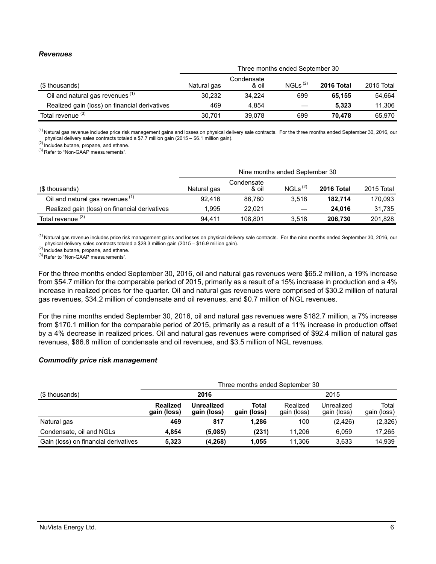#### *Revenues*

|                                               | Three months ended September 30 |                     |                     |            |            |  |  |
|-----------------------------------------------|---------------------------------|---------------------|---------------------|------------|------------|--|--|
| (\$ thousands)                                | Natural gas                     | Condensate<br>& oil | NGLs <sup>(2)</sup> | 2016 Total | 2015 Total |  |  |
| Oil and natural gas revenues <sup>(1)</sup>   | 30.232                          | 34.224              | 699                 | 65.155     | 54.664     |  |  |
| Realized gain (loss) on financial derivatives | 469                             | 4.854               |                     | 5.323      | 11.306     |  |  |
| Total revenue <sup>(3)</sup>                  | 30.701                          | 39,078              | 699                 | 70.478     | 65.970     |  |  |

<sup>(1)</sup> Natural gas revenue includes price risk management gains and losses on physical delivery sale contracts. For the three months ended September 30, 2016, our physical delivery sales contracts totaled a \$7.7 million gain (2015 – \$6.1 million gain).

(2) Includes butane, propane, and ethane.

(3) Refer to "Non-GAAP measurements".

|                                               | Nine months ended September 30 |                     |                     |            |            |  |  |  |
|-----------------------------------------------|--------------------------------|---------------------|---------------------|------------|------------|--|--|--|
| (\$ thousands)                                | Natural gas                    | Condensate<br>& oil | NGLs <sup>(2)</sup> | 2016 Total | 2015 Total |  |  |  |
| Oil and natural gas revenues <sup>(1)</sup>   | 92.416                         | 86.780              | 3.518               | 182.714    | 170,093    |  |  |  |
| Realized gain (loss) on financial derivatives | 1.995                          | 22.021              |                     | 24.016     | 31.735     |  |  |  |
| Total revenue <sup>(3)</sup>                  | 94.411                         | 108.801             | 3.518               | 206.730    | 201.828    |  |  |  |

<sup>(1)</sup> Natural gas revenue includes price risk management gains and losses on physical delivery sale contracts. For the nine months ended September 30, 2016, our physical delivery sales contracts totaled a \$28.3 million gain (2015 – \$16.9 million gain).

(2) Includes butane, propane, and ethane.

(3) Refer to "Non-GAAP measurements".

For the three months ended September 30, 2016, oil and natural gas revenues were \$65.2 million, a 19% increase from \$54.7 million for the comparable period of 2015, primarily as a result of a 15% increase in production and a 4% increase in realized prices for the quarter. Oil and natural gas revenues were comprised of \$30.2 million of natural gas revenues, \$34.2 million of condensate and oil revenues, and \$0.7 million of NGL revenues.

For the nine months ended September 30, 2016, oil and natural gas revenues were \$182.7 million, a 7% increase from \$170.1 million for the comparable period of 2015, primarily as a result of a 11% increase in production offset by a 4% decrease in realized prices. Oil and natural gas revenues were comprised of \$92.4 million of natural gas revenues, \$86.8 million of condensate and oil revenues, and \$3.5 million of NGL revenues.

#### *Commodity price risk management*

|                                      |                                |                                  | Three months ended September 30 |                         |                           |                      |  |  |  |  |
|--------------------------------------|--------------------------------|----------------------------------|---------------------------------|-------------------------|---------------------------|----------------------|--|--|--|--|
| (\$ thousands)                       |                                | 2016                             |                                 |                         | 2015                      |                      |  |  |  |  |
|                                      | <b>Realized</b><br>gain (loss) | <b>Unrealized</b><br>gain (loss) | Total<br>gain (loss)            | Realized<br>gain (loss) | Unrealized<br>gain (loss) | Total<br>gain (loss) |  |  |  |  |
| Natural gas                          | 469                            | 817                              | 1.286                           | 100                     | (2, 426)                  | (2,326)              |  |  |  |  |
| Condensate, oil and NGLs             | 4,854                          | (5,085)                          | (231)                           | 11.206                  | 6.059                     | 17,265               |  |  |  |  |
| Gain (loss) on financial derivatives | 5,323                          | (4,268)                          | 1.055                           | 11.306                  | 3.633                     | 14,939               |  |  |  |  |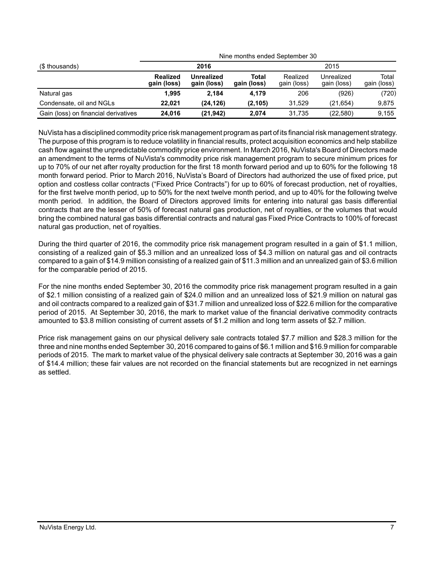|                                      |                                |                                  | Nine months ended September 30 |                         |                                                                    |                      |  |  |
|--------------------------------------|--------------------------------|----------------------------------|--------------------------------|-------------------------|--------------------------------------------------------------------|----------------------|--|--|
| (\$ thousands)                       |                                | 2016                             |                                |                         | 2015<br>Unrealized<br>gain (loss)<br>(926)<br>(21.654)<br>(22,580) |                      |  |  |
|                                      | <b>Realized</b><br>gain (loss) | <b>Unrealized</b><br>gain (loss) | Total<br>gain (loss)           | Realized<br>gain (loss) |                                                                    | Total<br>gain (loss) |  |  |
| Natural gas                          | 1.995                          | 2.184                            | 4.179                          | 206                     |                                                                    | (720)                |  |  |
| Condensate, oil and NGLs             | 22.021                         | (24.126)                         | (2, 105)                       | 31.529                  |                                                                    | 9.875                |  |  |
| Gain (loss) on financial derivatives | 24.016                         | (21, 942)                        | 2.074                          | 31.735                  |                                                                    | 9.155                |  |  |

NuVista has a disciplined commodity price risk management program as part of its financial risk management strategy. The purpose of this program is to reduce volatility in financial results, protect acquisition economics and help stabilize cash flow against the unpredictable commodity price environment. In March 2016, NuVista's Board of Directors made an amendment to the terms of NuVista's commodity price risk management program to secure minimum prices for up to 70% of our net after royalty production for the first 18 month forward period and up to 60% for the following 18 month forward period. Prior to March 2016, NuVista's Board of Directors had authorized the use of fixed price, put option and costless collar contracts ("Fixed Price Contracts") for up to 60% of forecast production, net of royalties, for the first twelve month period, up to 50% for the next twelve month period, and up to 40% for the following twelve month period. In addition, the Board of Directors approved limits for entering into natural gas basis differential contracts that are the lesser of 50% of forecast natural gas production, net of royalties, or the volumes that would bring the combined natural gas basis differential contracts and natural gas Fixed Price Contracts to 100% of forecast natural gas production, net of royalties.

During the third quarter of 2016, the commodity price risk management program resulted in a gain of \$1.1 million, consisting of a realized gain of \$5.3 million and an unrealized loss of \$4.3 million on natural gas and oil contracts compared to a gain of \$14.9 million consisting of a realized gain of \$11.3 million and an unrealized gain of \$3.6 million for the comparable period of 2015.

For the nine months ended September 30, 2016 the commodity price risk management program resulted in a gain of \$2.1 million consisting of a realized gain of \$24.0 million and an unrealized loss of \$21.9 million on natural gas and oil contracts compared to a realized gain of \$31.7 million and unrealized loss of \$22.6 million for the comparative period of 2015. At September 30, 2016, the mark to market value of the financial derivative commodity contracts amounted to \$3.8 million consisting of current assets of \$1.2 million and long term assets of \$2.7 million.

Price risk management gains on our physical delivery sale contracts totaled \$7.7 million and \$28.3 million for the three and nine months ended September 30, 2016 compared to gains of \$6.1 million and \$16.9 million for comparable periods of 2015. The mark to market value of the physical delivery sale contracts at September 30, 2016 was a gain of \$14.4 million; these fair values are not recorded on the financial statements but are recognized in net earnings as settled.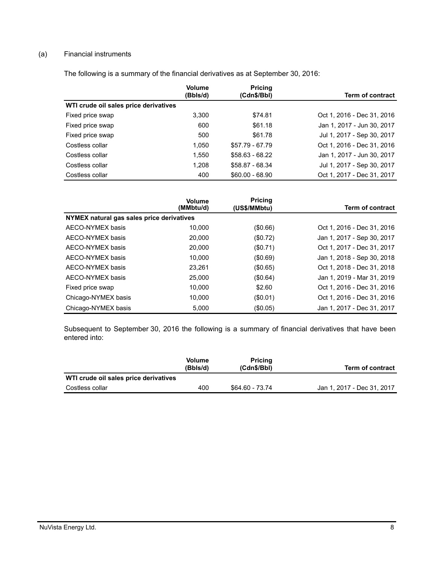# (a) Financial instruments

The following is a summary of the financial derivatives as at September 30, 2016:

|                                       | <b>Volume</b><br>(Bbls/d) | <b>Pricing</b><br>(Cdn\$/Bbl) | <b>Term of contract</b>    |
|---------------------------------------|---------------------------|-------------------------------|----------------------------|
| WTI crude oil sales price derivatives |                           |                               |                            |
| Fixed price swap                      | 3.300                     | \$74.81                       | Oct 1, 2016 - Dec 31, 2016 |
| Fixed price swap                      | 600                       | \$61.18                       | Jan 1, 2017 - Jun 30, 2017 |
| Fixed price swap                      | 500                       | \$61.78                       | Jul 1, 2017 - Sep 30, 2017 |
| Costless collar                       | 1.050                     | $$57.79 - 67.79$              | Oct 1, 2016 - Dec 31, 2016 |
| Costless collar                       | 1,550                     | $$58.63 - 68.22$              | Jan 1, 2017 - Jun 30, 2017 |
| Costless collar                       | 1,208                     | $$58.87 - 68.34$              | Jul 1, 2017 - Sep 30, 2017 |
| Costless collar                       | 400                       | $$60.00 - 68.90$              | Oct 1, 2017 - Dec 31, 2017 |

|                                           | <b>Volume</b><br>(MMbtu/d) | <b>Pricing</b><br>(US\$/MMbtu) | Term of contract           |
|-------------------------------------------|----------------------------|--------------------------------|----------------------------|
| NYMEX natural gas sales price derivatives |                            |                                |                            |
| AECO-NYMEX basis                          | 10.000                     | (\$0.66)                       | Oct 1, 2016 - Dec 31, 2016 |
| AECO-NYMEX basis                          | 20,000                     | (\$0.72)                       | Jan 1, 2017 - Sep 30, 2017 |
| AECO-NYMEX basis                          | 20,000                     | (\$0.71)                       | Oct 1, 2017 - Dec 31, 2017 |
| AECO-NYMEX basis                          | 10.000                     | (\$0.69)                       | Jan 1, 2018 - Sep 30, 2018 |
| AECO-NYMEX basis                          | 23.261                     | (\$0.65)                       | Oct 1, 2018 - Dec 31, 2018 |
| AECO-NYMEX basis                          | 25,000                     | $(\$0.64)$                     | Jan 1, 2019 - Mar 31, 2019 |
| Fixed price swap                          | 10.000                     | \$2.60                         | Oct 1, 2016 - Dec 31, 2016 |
| Chicago-NYMEX basis                       | 10,000                     | $(\$0.01)$                     | Oct 1, 2016 - Dec 31, 2016 |
| Chicago-NYMEX basis                       | 5,000                      | (\$0.05)                       | Jan 1, 2017 - Dec 31, 2017 |

Subsequent to September 30, 2016 the following is a summary of financial derivatives that have been entered into:

|                                       | <b>Volume</b><br>(Bbls/d) | Pricing<br>(Cdn\$/Bbl) | <b>Term of contract</b>    |
|---------------------------------------|---------------------------|------------------------|----------------------------|
| WTI crude oil sales price derivatives |                           |                        |                            |
| Costless collar                       | 400                       | \$64.60 - 73.74        | Jan 1, 2017 - Dec 31, 2017 |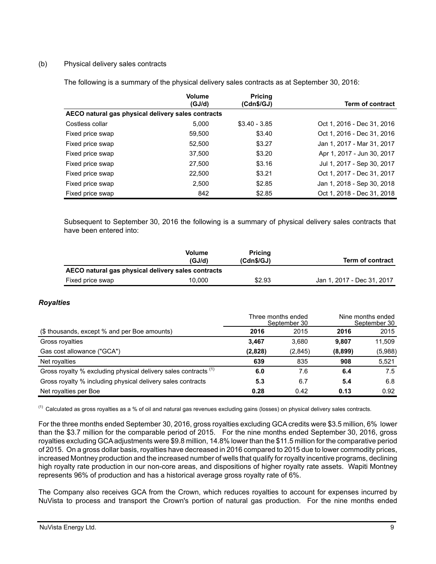## (b) Physical delivery sales contracts

The following is a summary of the physical delivery sales contracts as at September 30, 2016:

|                                                    | Volume<br>(GJ/d) | <b>Pricing</b><br>(Cdn\$/GJ) | <b>Term of contract</b>    |
|----------------------------------------------------|------------------|------------------------------|----------------------------|
| AECO natural gas physical delivery sales contracts |                  |                              |                            |
| Costless collar                                    | 5.000            | $$3.40 - 3.85$               | Oct 1, 2016 - Dec 31, 2016 |
| Fixed price swap                                   | 59,500           | \$3.40                       | Oct 1, 2016 - Dec 31, 2016 |
| Fixed price swap                                   | 52,500           | \$3.27                       | Jan 1, 2017 - Mar 31, 2017 |
| Fixed price swap                                   | 37,500           | \$3.20                       | Apr 1, 2017 - Jun 30, 2017 |
| Fixed price swap                                   | 27,500           | \$3.16                       | Jul 1, 2017 - Sep 30, 2017 |
| Fixed price swap                                   | 22,500           | \$3.21                       | Oct 1, 2017 - Dec 31, 2017 |
| Fixed price swap                                   | 2,500            | \$2.85                       | Jan 1, 2018 - Sep 30, 2018 |
| Fixed price swap                                   | 842              | \$2.85                       | Oct 1, 2018 - Dec 31, 2018 |

Subsequent to September 30, 2016 the following is a summary of physical delivery sales contracts that have been entered into:

|                                                    | Volume<br>(GJ/d) | <b>Pricing</b><br>(Cdn\$/GJ) | <b>Term of contract</b>    |
|----------------------------------------------------|------------------|------------------------------|----------------------------|
| AECO natural gas physical delivery sales contracts |                  |                              |                            |
| Fixed price swap                                   | 10.000           | \$2.93                       | Jan 1, 2017 - Dec 31, 2017 |

## *Royalties*

|                                                                            |         | Three months ended<br>September 30 | Nine months ended<br>September 30 |         |  |
|----------------------------------------------------------------------------|---------|------------------------------------|-----------------------------------|---------|--|
| (\$ thousands, except % and per Boe amounts)                               | 2016    | 2015                               | 2016                              | 2015    |  |
| Gross royalties                                                            | 3.467   | 3.680                              | 9.807                             | 11,509  |  |
| Gas cost allowance ("GCA")                                                 | (2,828) | (2,845)                            | (8,899)                           | (5,988) |  |
| Net royalties                                                              | 639     | 835                                | 908                               | 5,521   |  |
| Gross royalty % excluding physical delivery sales contracts <sup>(1)</sup> | 6.0     | 7.6                                | 6.4                               | 7.5     |  |
| Gross royalty % including physical delivery sales contracts                | 5.3     | 6.7                                | 5.4                               | 6.8     |  |
| Net royalties per Boe                                                      | 0.28    | 0.42                               | 0.13                              | 0.92    |  |

 $(1)$  Calculated as gross royalties as a % of oil and natural gas revenues excluding gains (losses) on physical delivery sales contracts.

For the three months ended September 30, 2016, gross royalties excluding GCA credits were \$3.5 million, 6% lower than the \$3.7 million for the comparable period of 2015. For the nine months ended September 30, 2016, gross royalties excluding GCA adjustments were \$9.8 million, 14.8% lower than the \$11.5 million for the comparative period of 2015. On a gross dollar basis, royalties have decreased in 2016 compared to 2015 due to lower commodity prices, increased Montney production and the increased number of wells that qualify for royalty incentive programs, declining high royalty rate production in our non-core areas, and dispositions of higher royalty rate assets. Wapiti Montney represents 96% of production and has a historical average gross royalty rate of 6%.

The Company also receives GCA from the Crown, which reduces royalties to account for expenses incurred by NuVista to process and transport the Crown's portion of natural gas production. For the nine months ended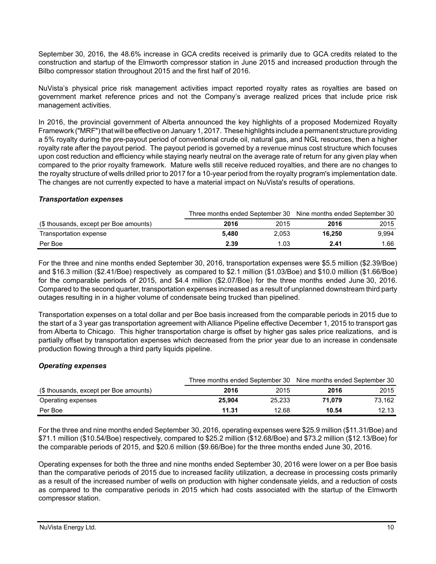September 30, 2016, the 48.6% increase in GCA credits received is primarily due to GCA credits related to the construction and startup of the Elmworth compressor station in June 2015 and increased production through the Bilbo compressor station throughout 2015 and the first half of 2016.

NuVista's physical price risk management activities impact reported royalty rates as royalties are based on government market reference prices and not the Company's average realized prices that include price risk management activities.

In 2016, the provincial government of Alberta announced the key highlights of a proposed Modernized Royalty Framework ("MRF") that will be effective on January 1, 2017. These highlights include a permanent structure providing a 5% royalty during the pre-payout period of conventional crude oil, natural gas, and NGL resources, then a higher royalty rate after the payout period. The payout period is governed by a revenue minus cost structure which focuses upon cost reduction and efficiency while staying nearly neutral on the average rate of return for any given play when compared to the prior royalty framework. Mature wells still receive reduced royalties, and there are no changes to the royalty structure of wells drilled prior to 2017 for a 10-year period from the royalty program's implementation date. The changes are not currently expected to have a material impact on NuVista's results of operations.

#### *Transportation expenses*

|                                        |       |       | Three months ended September 30 Nine months ended September 30 |       |  |
|----------------------------------------|-------|-------|----------------------------------------------------------------|-------|--|
| (\$ thousands, except per Boe amounts) | 2016  | 2015  | 2016                                                           | 2015  |  |
| Transportation expense                 | 5.480 | 2.053 | 16.250                                                         | 9.994 |  |
| Per Boe                                | 2.39  | 1.03  | 2.41                                                           | 1.66  |  |

For the three and nine months ended September 30, 2016, transportation expenses were \$5.5 million (\$2.39/Boe) and \$16.3 million (\$2.41/Boe) respectively as compared to \$2.1 million (\$1.03/Boe) and \$10.0 million (\$1.66/Boe) for the comparable periods of 2015, and \$4.4 million (\$2.07/Boe) for the three months ended June 30, 2016. Compared to the second quarter, transportation expenses increased as a result of unplanned downstream third party outages resulting in in a higher volume of condensate being trucked than pipelined.

Transportation expenses on a total dollar and per Boe basis increased from the comparable periods in 2015 due to the start of a 3 year gas transportation agreement with Alliance Pipeline effective December 1, 2015 to transport gas from Alberta to Chicago. This higher transportation charge is offset by higher gas sales price realizations, and is partially offset by transportation expenses which decreased from the prior year due to an increase in condensate production flowing through a third party liquids pipeline.

## *Operating expenses*

|                                        | Three months ended September 30 Nine months ended September 30 |        |        |        |
|----------------------------------------|----------------------------------------------------------------|--------|--------|--------|
| (\$ thousands, except per Boe amounts) | 2016                                                           | 2015   | 2016   | 2015   |
| Operating expenses                     | 25.904                                                         | 25.233 | 71.079 | 73.162 |
| Per Boe                                | 11.31                                                          | 12.68  | 10.54  | 12.13  |

For the three and nine months ended September 30, 2016, operating expenses were \$25.9 million (\$11.31/Boe) and \$71.1 million (\$10.54/Boe) respectively, compared to \$25.2 million (\$12.68/Boe) and \$73.2 million (\$12.13/Boe) for the comparable periods of 2015, and \$20.6 million (\$9.66/Boe) for the three months ended June 30, 2016.

Operating expenses for both the three and nine months ended September 30, 2016 were lower on a per Boe basis than the comparative periods of 2015 due to increased facility utilization, a decrease in processing costs primarily as a result of the increased number of wells on production with higher condensate yields, and a reduction of costs as compared to the comparative periods in 2015 which had costs associated with the startup of the Elmworth compressor station.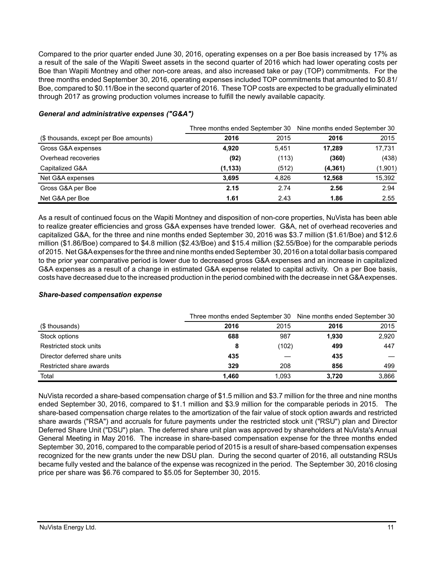Compared to the prior quarter ended June 30, 2016, operating expenses on a per Boe basis increased by 17% as a result of the sale of the Wapiti Sweet assets in the second quarter of 2016 which had lower operating costs per Boe than Wapiti Montney and other non-core areas, and also increased take or pay (TOP) commitments. For the three months ended September 30, 2016, operating expenses included TOP commitments that amounted to \$0.81/ Boe, compared to \$0.11/Boe in the second quarter of 2016. These TOP costs are expected to be gradually eliminated through 2017 as growing production volumes increase to fulfill the newly available capacity.

|                                        | Three months ended September 30 Nine months ended September 30 |       |          |         |
|----------------------------------------|----------------------------------------------------------------|-------|----------|---------|
| (\$ thousands, except per Boe amounts) | 2016                                                           | 2015  | 2016     | 2015    |
| Gross G&A expenses                     | 4,920                                                          | 5.451 | 17.289   | 17,731  |
| Overhead recoveries                    | (92)                                                           | (113) | (360)    | (438)   |
| Capitalized G&A                        | (1, 133)                                                       | (512) | (4, 361) | (1,901) |
| Net G&A expenses                       | 3.695                                                          | 4.826 | 12.568   | 15.392  |
| Gross G&A per Boe                      | 2.15                                                           | 2.74  | 2.56     | 2.94    |
| Net G&A per Boe                        | 1.61                                                           | 2.43  | 1.86     | 2.55    |

## *General and administrative expenses ("G&A")*

As a result of continued focus on the Wapiti Montney and disposition of non-core properties, NuVista has been able to realize greater efficiencies and gross G&A expenses have trended lower. G&A, net of overhead recoveries and capitalized G&A, for the three and nine months ended September 30, 2016 was \$3.7 million (\$1.61/Boe) and \$12.6 million (\$1.86/Boe) compared to \$4.8 million (\$2.43/Boe) and \$15.4 million (\$2.55/Boe) for the comparable periods of 2015. Net G&A expenses for the three and nine months ended September 30, 2016 on a total dollar basis compared to the prior year comparative period is lower due to decreased gross G&A expenses and an increase in capitalized G&A expenses as a result of a change in estimated G&A expense related to capital activity. On a per Boe basis, costs have decreased due to the increased production in the period combined with the decrease in net G&A expenses.

## *Share-based compensation expense*

|                               | Three months ended September 30 Nine months ended September 30 |       |       |       |
|-------------------------------|----------------------------------------------------------------|-------|-------|-------|
| (\$ thousands)                | 2016                                                           | 2015  | 2016  | 2015  |
| Stock options                 | 688                                                            | 987   | 1,930 | 2,920 |
| Restricted stock units        |                                                                | (102) | 499   | 447   |
| Director deferred share units | 435                                                            |       | 435   |       |
| Restricted share awards       | 329                                                            | 208   | 856   | 499   |
| Total                         | 1.460                                                          | 1.093 | 3.720 | 3.866 |

NuVista recorded a share-based compensation charge of \$1.5 million and \$3.7 million for the three and nine months ended September 30, 2016, compared to \$1.1 million and \$3.9 million for the comparable periods in 2015. The share-based compensation charge relates to the amortization of the fair value of stock option awards and restricted share awards ("RSA") and accruals for future payments under the restricted stock unit ("RSU") plan and Director Deferred Share Unit ("DSU") plan. The deferred share unit plan was approved by shareholders at NuVista's Annual General Meeting in May 2016. The increase in share-based compensation expense for the three months ended September 30, 2016, compared to the comparable period of 2015 is a result of share-based compensation expenses recognized for the new grants under the new DSU plan. During the second quarter of 2016, all outstanding RSUs became fully vested and the balance of the expense was recognized in the period. The September 30, 2016 closing price per share was \$6.76 compared to \$5.05 for September 30, 2015.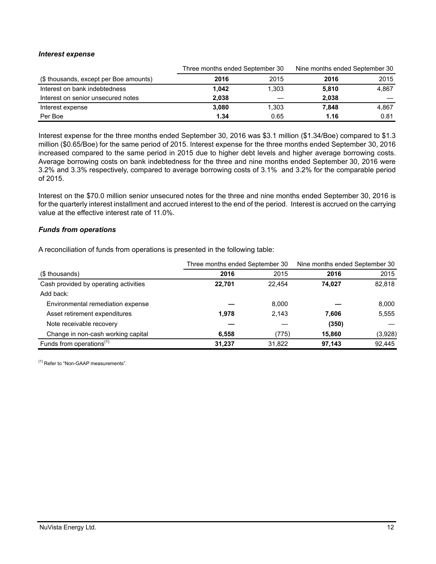#### *Interest expense*

|                                        | Three months ended September 30 |       | Nine months ended September 30 |       |
|----------------------------------------|---------------------------------|-------|--------------------------------|-------|
| (\$ thousands, except per Boe amounts) | 2016                            | 2015  | 2016                           | 2015  |
| Interest on bank indebtedness          | 1.042                           | 1.303 | 5,810                          | 4.867 |
| Interest on senior unsecured notes     | 2.038                           |       | 2,038                          |       |
| Interest expense                       | 3,080                           | 1.303 | 7.848                          | 4.867 |
| Per Boe                                | 1.34                            | 0.65  | 1.16                           | 0.81  |

Interest expense for the three months ended September 30, 2016 was \$3.1 million (\$1.34/Boe) compared to \$1.3 million (\$0.65/Boe) for the same period of 2015. Interest expense for the three months ended September 30, 2016 increased compared to the same period in 2015 due to higher debt levels and higher average borrowing costs. Average borrowing costs on bank indebtedness for the three and nine months ended September 30, 2016 were 3.2% and 3.3% respectively, compared to average borrowing costs of 3.1% and 3.2% for the comparable period of 2015.

Interest on the \$70.0 million senior unsecured notes for the three and nine months ended September 30, 2016 is for the quarterly interest installment and accrued interest to the end of the period. Interest is accrued on the carrying value at the effective interest rate of 11.0%.

#### *Funds from operations*

A reconciliation of funds from operations is presented in the following table:

|                                       | Three months ended September 30 |        | Nine months ended September 30 |         |
|---------------------------------------|---------------------------------|--------|--------------------------------|---------|
| (\$ thousands)                        | 2016                            | 2015   | 2016                           | 2015    |
| Cash provided by operating activities | 22.701                          | 22.454 | 74.027                         | 82,818  |
| Add back:                             |                                 |        |                                |         |
| Environmental remediation expense     |                                 | 8,000  |                                | 8,000   |
| Asset retirement expenditures         | 1,978                           | 2,143  | 7.606                          | 5,555   |
| Note receivable recovery              |                                 |        | (350)                          |         |
| Change in non-cash working capital    | 6.558                           | (775)  | 15.860                         | (3,928) |
| Funds from operations <sup>(1)</sup>  | 31,237                          | 31.822 | 97.143                         | 92.445  |

(1) Refer to "Non-GAAP measurements".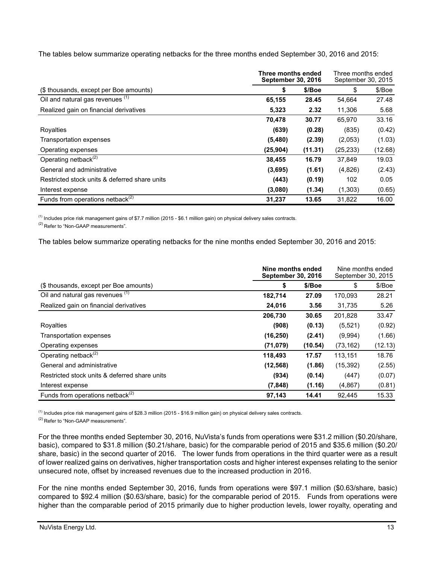The tables below summarize operating netbacks for the three months ended September 30, 2016 and 2015:

|                                               | Three months ended<br><b>September 30, 2016</b> | Three months ended<br>September 30, 2015 |           |         |
|-----------------------------------------------|-------------------------------------------------|------------------------------------------|-----------|---------|
| (\$ thousands, except per Boe amounts)        | \$                                              | \$/Boe                                   | \$        | \$/Boe  |
| Oil and natural gas revenues (1)              | 65,155                                          | 28.45                                    | 54,664    | 27.48   |
| Realized gain on financial derivatives        | 5,323                                           | 2.32                                     | 11.306    | 5.68    |
|                                               | 70,478                                          | 30.77                                    | 65,970    | 33.16   |
| Royalties                                     | (639)                                           | (0.28)                                   | (835)     | (0.42)  |
| Transportation expenses                       | (5,480)                                         | (2.39)                                   | (2,053)   | (1.03)  |
| Operating expenses                            | (25,904)                                        | (11.31)                                  | (25, 233) | (12.68) |
| Operating netback <sup>(2)</sup>              | 38,455                                          | 16.79                                    | 37,849    | 19.03   |
| General and administrative                    | (3,695)                                         | (1.61)                                   | (4,826)   | (2.43)  |
| Restricted stock units & deferred share units | (443)                                           | (0.19)                                   | 102       | 0.05    |
| Interest expense                              | (3,080)                                         | (1.34)                                   | (1,303)   | (0.65)  |
| Funds from operations netback <sup>(2)</sup>  | 31,237                                          | 13.65                                    | 31.822    | 16.00   |

 $<sup>(1)</sup>$  Includes price risk management gains of \$7.7 million (2015 - \$6.1 million gain) on physical delivery sales contracts.</sup>

<sup>(2)</sup> Refer to "Non-GAAP measurements".

The tables below summarize operating netbacks for the nine months ended September 30, 2016 and 2015:

|                                               | Nine months ended<br><b>September 30, 2016</b> | Nine months ended<br>September 30, 2015 |           |         |
|-----------------------------------------------|------------------------------------------------|-----------------------------------------|-----------|---------|
| (\$ thousands, except per Boe amounts)        | \$                                             | \$/Boe                                  | \$        | \$/Boe  |
| Oil and natural gas revenues (1)              | 182,714                                        | 27.09                                   | 170,093   | 28.21   |
| Realized gain on financial derivatives        | 24,016                                         | 3.56                                    | 31,735    | 5.26    |
|                                               | 206,730                                        | 30.65                                   | 201,828   | 33.47   |
| Royalties                                     | (908)                                          | (0.13)                                  | (5,521)   | (0.92)  |
| Transportation expenses                       | (16, 250)                                      | (2.41)                                  | (9,994)   | (1.66)  |
| Operating expenses                            | (71, 079)                                      | (10.54)                                 | (73, 162) | (12.13) |
| Operating netback $(2)$                       | 118,493                                        | 17.57                                   | 113,151   | 18.76   |
| General and administrative                    | (12, 568)                                      | (1.86)                                  | (15, 392) | (2.55)  |
| Restricted stock units & deferred share units | (934)                                          | (0.14)                                  | (447)     | (0.07)  |
| Interest expense                              | (7, 848)                                       | (1.16)                                  | (4,867)   | (0.81)  |
| Funds from operations netback <sup>(2)</sup>  | 97,143                                         | 14.41                                   | 92,445    | 15.33   |

 $<sup>(1)</sup>$  Includes price risk management gains of \$28.3 million (2015 - \$16.9 million gain) on physical delivery sales contracts.</sup>

(2) Refer to "Non-GAAP measurements".

For the three months ended September 30, 2016, NuVista's funds from operations were \$31.2 million (\$0.20/share, basic), compared to \$31.8 million (\$0.21/share, basic) for the comparable period of 2015 and \$35.6 million (\$0.20/ share, basic) in the second quarter of 2016. The lower funds from operations in the third quarter were as a result of lower realized gains on derivatives, higher transportation costs and higher interest expenses relating to the senior unsecured note, offset by increased revenues due to the increased production in 2016.

For the nine months ended September 30, 2016, funds from operations were \$97.1 million (\$0.63/share, basic) compared to \$92.4 million (\$0.63/share, basic) for the comparable period of 2015. Funds from operations were higher than the comparable period of 2015 primarily due to higher production levels, lower royalty, operating and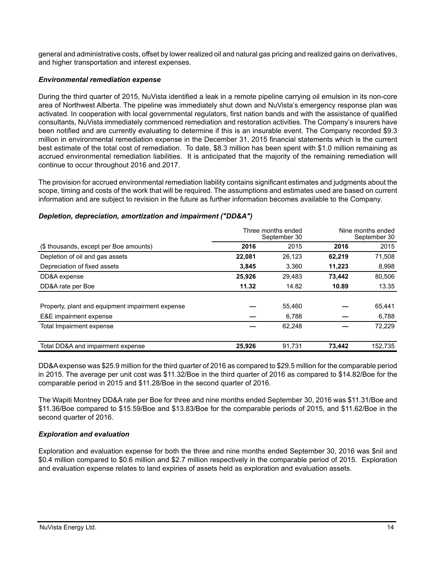general and administrative costs, offset by lower realized oil and natural gas pricing and realized gains on derivatives, and higher transportation and interest expenses.

## *Environmental remediation expense*

During the third quarter of 2015, NuVista identified a leak in a remote pipeline carrying oil emulsion in its non-core area of Northwest Alberta. The pipeline was immediately shut down and NuVista's emergency response plan was activated. In cooperation with local governmental regulators, first nation bands and with the assistance of qualified consultants, NuVista immediately commenced remediation and restoration activities. The Company's insurers have been notified and are currently evaluating to determine if this is an insurable event. The Company recorded \$9.3 million in environmental remediation expense in the December 31, 2015 financial statements which is the current best estimate of the total cost of remediation. To date, \$8.3 million has been spent with \$1.0 million remaining as accrued environmental remediation liabilities. It is anticipated that the majority of the remaining remediation will continue to occur throughout 2016 and 2017.

The provision for accrued environmental remediation liability contains significant estimates and judgments about the scope, timing and costs of the work that will be required. The assumptions and estimates used are based on current information and are subject to revision in the future as further information becomes available to the Company.

|                                                  |        | Three months ended<br>September 30 | Nine months ended<br>September 30 |         |  |
|--------------------------------------------------|--------|------------------------------------|-----------------------------------|---------|--|
| (\$ thousands, except per Boe amounts)           | 2016   | 2015                               | 2016                              | 2015    |  |
| Depletion of oil and gas assets                  | 22,081 | 26,123                             | 62,219                            | 71,508  |  |
| Depreciation of fixed assets                     | 3,845  | 3,360                              | 11,223                            | 8,998   |  |
| DD&A expense                                     | 25,926 | 29.483                             | 73.442                            | 80,506  |  |
| DD&A rate per Boe                                | 11.32  | 14.82                              | 10.89                             | 13.35   |  |
|                                                  |        |                                    |                                   |         |  |
| Property, plant and equipment impairment expense |        | 55.460                             |                                   | 65.441  |  |
| E&E impairment expense                           |        | 6.788                              |                                   | 6,788   |  |
| Total Impairment expense                         |        | 62.248                             |                                   | 72,229  |  |
| Total DD&A and impairment expense                | 25.926 | 91.731                             | 73.442                            | 152.735 |  |

#### *Depletion, depreciation, amortization and impairment ("DD&A")*

DD&A expense was \$25.9 million for the third quarter of 2016 as compared to \$29.5 million for the comparable period in 2015. The average per unit cost was \$11.32/Boe in the third quarter of 2016 as compared to \$14.82/Boe for the comparable period in 2015 and \$11.28/Boe in the second quarter of 2016.

The Wapiti Montney DD&A rate per Boe for three and nine months ended September 30, 2016 was \$11.31/Boe and \$11.36/Boe compared to \$15.59/Boe and \$13.83/Boe for the comparable periods of 2015, and \$11.62/Boe in the second quarter of 2016.

## *Exploration and evaluation*

Exploration and evaluation expense for both the three and nine months ended September 30, 2016 was \$nil and \$0.4 million compared to \$0.6 million and \$2.7 million respectively in the comparable period of 2015. Exploration and evaluation expense relates to land expiries of assets held as exploration and evaluation assets.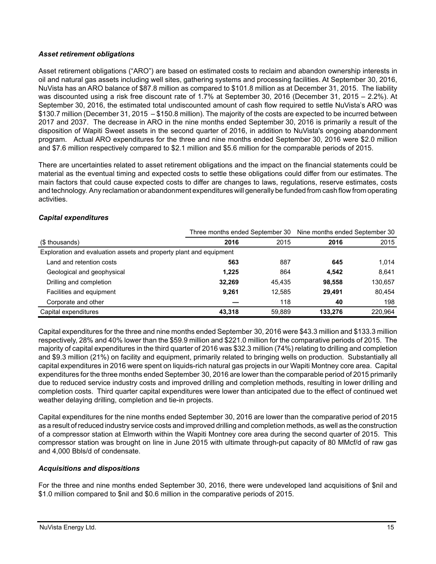# *Asset retirement obligations*

Asset retirement obligations ("ARO") are based on estimated costs to reclaim and abandon ownership interests in oil and natural gas assets including well sites, gathering systems and processing facilities. At September 30, 2016, NuVista has an ARO balance of \$87.8 million as compared to \$101.8 million as at December 31, 2015. The liability was discounted using a risk free discount rate of 1.7% at September 30, 2016 (December 31, 2015 – 2.2%). At September 30, 2016, the estimated total undiscounted amount of cash flow required to settle NuVista's ARO was \$130.7 million (December 31, 2015 – \$150.8 million). The majority of the costs are expected to be incurred between 2017 and 2037. The decrease in ARO in the nine months ended September 30, 2016 is primarily a result of the disposition of Wapiti Sweet assets in the second quarter of 2016, in addition to NuVista's ongoing abandonment program. Actual ARO expenditures for the three and nine months ended September 30, 2016 were \$2.0 million and \$7.6 million respectively compared to \$2.1 million and \$5.6 million for the comparable periods of 2015.

There are uncertainties related to asset retirement obligations and the impact on the financial statements could be material as the eventual timing and expected costs to settle these obligations could differ from our estimates. The main factors that could cause expected costs to differ are changes to laws, regulations, reserve estimates, costs and technology. Any reclamation or abandonment expenditures will generally be funded from cash flow from operating activities.

# *Capital expenditures*

|                                                                    | Three months ended September 30 |        | Nine months ended September 30 |         |  |  |
|--------------------------------------------------------------------|---------------------------------|--------|--------------------------------|---------|--|--|
| (\$ thousands)                                                     | 2016                            | 2015   | 2016                           | 2015    |  |  |
| Exploration and evaluation assets and property plant and equipment |                                 |        |                                |         |  |  |
| Land and retention costs                                           | 563                             | 887    | 645                            | 1.014   |  |  |
| Geological and geophysical                                         | 1,225                           | 864    | 4.542                          | 8,641   |  |  |
| Drilling and completion                                            | 32,269                          | 45.435 | 98,558                         | 130,657 |  |  |
| Facilities and equipment                                           | 9,261                           | 12.585 | 29.491                         | 80.454  |  |  |
| Corporate and other                                                |                                 | 118    | 40                             | 198     |  |  |
| Capital expenditures                                               | 43.318                          | 59.889 | 133.276                        | 220.964 |  |  |

Capital expenditures for the three and nine months ended September 30, 2016 were \$43.3 million and \$133.3 million respectively, 28% and 40% lower than the \$59.9 million and \$221.0 million for the comparative periods of 2015. The majority of capital expenditures in the third quarter of 2016 was \$32.3 million (74%) relating to drilling and completion and \$9.3 million (21%) on facility and equipment, primarily related to bringing wells on production. Substantially all capital expenditures in 2016 were spent on liquids-rich natural gas projects in our Wapiti Montney core area. Capital expenditures for the three months ended September 30, 2016 are lower than the comparable period of 2015 primarily due to reduced service industry costs and improved drilling and completion methods, resulting in lower drilling and completion costs. Third quarter capital expenditures were lower than anticipated due to the effect of continued wet weather delaying drilling, completion and tie-in projects.

Capital expenditures for the nine months ended September 30, 2016 are lower than the comparative period of 2015 as a result of reduced industry service costs and improved drilling and completion methods, as well as the construction of a compressor station at Elmworth within the Wapiti Montney core area during the second quarter of 2015. This compressor station was brought on line in June 2015 with ultimate through-put capacity of 80 MMcf/d of raw gas and 4,000 Bbls/d of condensate.

## *Acquisitions and dispositions*

For the three and nine months ended September 30, 2016, there were undeveloped land acquisitions of \$nil and \$1.0 million compared to \$nil and \$0.6 million in the comparative periods of 2015.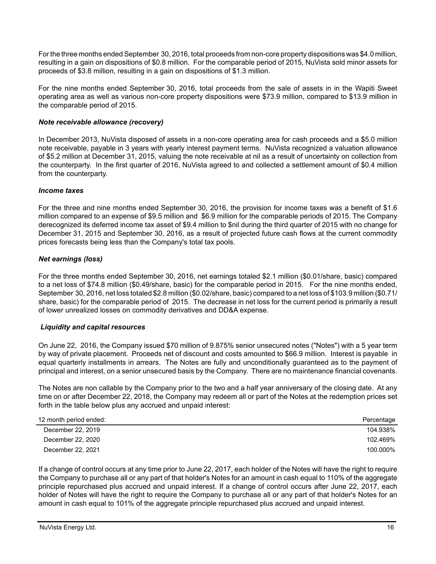For the three months ended September 30, 2016, total proceeds from non-core property dispositions was \$4.0 million, resulting in a gain on dispositions of \$0.8 million. For the comparable period of 2015, NuVista sold minor assets for proceeds of \$3.8 million, resulting in a gain on dispositions of \$1.3 million.

For the nine months ended September 30, 2016, total proceeds from the sale of assets in in the Wapiti Sweet operating area as well as various non-core property dispositions were \$73.9 million, compared to \$13.9 million in the comparable period of 2015.

#### *Note receivable allowance (recovery)*

In December 2013, NuVista disposed of assets in a non-core operating area for cash proceeds and a \$5.0 million note receivable, payable in 3 years with yearly interest payment terms. NuVista recognized a valuation allowance of \$5.2 million at December 31, 2015, valuing the note receivable at nil as a result of uncertainty on collection from the counterparty. In the first quarter of 2016, NuVista agreed to and collected a settlement amount of \$0.4 million from the counterparty.

#### *Income taxes*

For the three and nine months ended September 30, 2016, the provision for income taxes was a benefit of \$1.6 million compared to an expense of \$9.5 million and \$6.9 million for the comparable periods of 2015. The Company derecognized its deferred income tax asset of \$9.4 million to \$nil during the third quarter of 2015 with no change for December 31, 2015 and September 30, 2016, as a result of projected future cash flows at the current commodity prices forecasts being less than the Company's total tax pools.

## *Net earnings (loss)*

For the three months ended September 30, 2016, net earnings totaled \$2.1 million (\$0.01/share, basic) compared to a net loss of \$74.8 million (\$0.49/share, basic) for the comparable period in 2015. For the nine months ended, September 30, 2016, net loss totaled \$2.8 million (\$0.02/share, basic) compared to a net loss of \$103.9 million (\$0.71/ share, basic) for the comparable period of 2015. The decrease in net loss for the current period is primarily a result of lower unrealized losses on commodity derivatives and DD&A expense.

## *Liquidity and capital resources*

On June 22, 2016, the Company issued \$70 million of 9.875% senior unsecured notes ("Notes") with a 5 year term by way of private placement. Proceeds net of discount and costs amounted to \$66.9 million. Interest is payable in equal quarterly installments in arrears. The Notes are fully and unconditionally guaranteed as to the payment of principal and interest, on a senior unsecured basis by the Company. There are no maintenance financial covenants.

The Notes are non callable by the Company prior to the two and a half year anniversary of the closing date. At any time on or after December 22, 2018, the Company may redeem all or part of the Notes at the redemption prices set forth in the table below plus any accrued and unpaid interest:

| 12 month period ended: | Percentage |
|------------------------|------------|
| December 22, 2019      | 104.938%   |
| December 22, 2020      | 102.469%   |
| December 22, 2021      | 100.000%   |

If a change of control occurs at any time prior to June 22, 2017, each holder of the Notes will have the right to require the Company to purchase all or any part of that holder's Notes for an amount in cash equal to 110% of the aggregate principle repurchased plus accrued and unpaid interest. If a change of control occurs after June 22, 2017, each holder of Notes will have the right to require the Company to purchase all or any part of that holder's Notes for an amount in cash equal to 101% of the aggregate principle repurchased plus accrued and unpaid interest.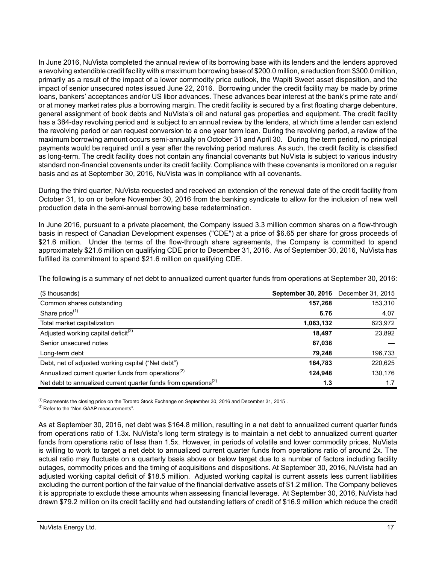In June 2016, NuVista completed the annual review of its borrowing base with its lenders and the lenders approved a revolving extendible credit facility with a maximum borrowing base of \$200.0 million, a reduction from \$300.0 million, primarily as a result of the impact of a lower commodity price outlook, the Wapiti Sweet asset disposition, and the impact of senior unsecured notes issued June 22, 2016. Borrowing under the credit facility may be made by prime loans, bankers' acceptances and/or US libor advances. These advances bear interest at the bank's prime rate and/ or at money market rates plus a borrowing margin. The credit facility is secured by a first floating charge debenture, general assignment of book debts and NuVista's oil and natural gas properties and equipment. The credit facility has a 364-day revolving period and is subject to an annual review by the lenders, at which time a lender can extend the revolving period or can request conversion to a one year term loan. During the revolving period, a review of the maximum borrowing amount occurs semi-annually on October 31 and April 30. During the term period, no principal payments would be required until a year after the revolving period matures. As such, the credit facility is classified as long-term. The credit facility does not contain any financial covenants but NuVista is subject to various industry standard non-financial covenants under its credit facility. Compliance with these covenants is monitored on a regular basis and as at September 30, 2016, NuVista was in compliance with all covenants.

During the third quarter, NuVista requested and received an extension of the renewal date of the credit facility from October 31, to on or before November 30, 2016 from the banking syndicate to allow for the inclusion of new well production data in the semi-annual borrowing base redetermination.

In June 2016, pursuant to a private placement, the Company issued 3.3 million common shares on a flow-through basis in respect of Canadian Development expenses ("CDE") at a price of \$6.65 per share for gross proceeds of \$21.6 million. Under the terms of the flow-through share agreements, the Company is committed to spend approximately \$21.6 million on qualifying CDE prior to December 31, 2016. As of September 30, 2016, NuVista has fulfilled its commitment to spend \$21.6 million on qualifying CDE.

| (\$ thousands)                                                              | September 30, 2016 December 31, 2015 |         |
|-----------------------------------------------------------------------------|--------------------------------------|---------|
| Common shares outstanding                                                   | 157,268                              | 153,310 |
| Share price <sup>(1)</sup>                                                  | 6.76                                 | 4.07    |
| Total market capitalization                                                 | 1,063,132                            | 623,972 |
| Adjusted working capital deficit <sup>(2)</sup>                             | 18.497                               | 23,892  |
| Senior unsecured notes                                                      | 67,038                               |         |
| Long-term debt                                                              | 79.248                               | 196,733 |
| Debt, net of adjusted working capital ("Net debt")                          | 164,783                              | 220,625 |
| Annualized current quarter funds from operations <sup>(2)</sup>             | 124,948                              | 130,176 |
| Net debt to annualized current quarter funds from operations <sup>(2)</sup> | 1.3                                  | 1.7     |

The following is a summary of net debt to annualized current quarter funds from operations at September 30, 2016:

<sup>(1)</sup> Represents the closing price on the Toronto Stock Exchange on September 30, 2016 and December 31, 2015.

<sup>(2)</sup> Refer to the "Non-GAAP measurements".

As at September 30, 2016, net debt was \$164.8 million, resulting in a net debt to annualized current quarter funds from operations ratio of 1.3x. NuVista's long term strategy is to maintain a net debt to annualized current quarter funds from operations ratio of less than 1.5x. However, in periods of volatile and lower commodity prices, NuVista is willing to work to target a net debt to annualized current quarter funds from operations ratio of around 2x. The actual ratio may fluctuate on a quarterly basis above or below target due to a number of factors including facility outages, commodity prices and the timing of acquisitions and dispositions. At September 30, 2016, NuVista had an adjusted working capital deficit of \$18.5 million. Adjusted working capital is current assets less current liabilities excluding the current portion of the fair value of the financial derivative assets of \$1.2 million. The Company believes it is appropriate to exclude these amounts when assessing financial leverage. At September 30, 2016, NuVista had drawn \$79.2 million on its credit facility and had outstanding letters of credit of \$16.9 million which reduce the credit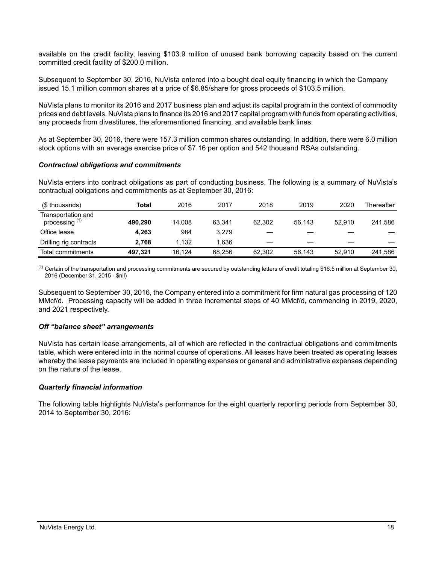available on the credit facility, leaving \$103.9 million of unused bank borrowing capacity based on the current committed credit facility of \$200.0 million.

Subsequent to September 30, 2016, NuVista entered into a bought deal equity financing in which the Company issued 15.1 million common shares at a price of \$6.85/share for gross proceeds of \$103.5 million.

NuVista plans to monitor its 2016 and 2017 business plan and adjust its capital program in the context of commodity prices and debt levels. NuVista plans to finance its 2016 and 2017 capital program with funds from operating activities, any proceeds from divestitures, the aforementioned financing, and available bank lines.

As at September 30, 2016, there were 157.3 million common shares outstanding. In addition, there were 6.0 million stock options with an average exercise price of \$7.16 per option and 542 thousand RSAs outstanding.

#### *Contractual obligations and commitments*

NuVista enters into contract obligations as part of conducting business. The following is a summary of NuVista's contractual obligations and commitments as at September 30, 2016:

| (\$ thousands)                                  | Total   | 2016   | 2017   | 2018   | 2019   | 2020   | Thereafter |
|-------------------------------------------------|---------|--------|--------|--------|--------|--------|------------|
| Transportation and<br>processing <sup>(1)</sup> | 490.290 | 14.008 | 63.341 | 62.302 | 56.143 | 52,910 | 241,586    |
| Office lease                                    | 4,263   | 984    | 3,279  |        |        |        |            |
| Drilling rig contracts                          | 2.768   | 1.132  | 1.636  |        | __     |        |            |
| Total commitments                               | 497.321 | 16.124 | 68.256 | 62.302 | 56.143 | 52.910 | 241,586    |

 $<sup>(1)</sup>$  Certain of the transportation and processing commitments are secured by outstanding letters of credit totaling \$16.5 million at September 30,</sup> 2016 (December 31, 2015 - \$nil)

Subsequent to September 30, 2016, the Company entered into a commitment for firm natural gas processing of 120 MMcf/d. Processing capacity will be added in three incremental steps of 40 MMcf/d, commencing in 2019, 2020, and 2021 respectively.

#### *Off "balance sheet" arrangements*

NuVista has certain lease arrangements, all of which are reflected in the contractual obligations and commitments table, which were entered into in the normal course of operations. All leases have been treated as operating leases whereby the lease payments are included in operating expenses or general and administrative expenses depending on the nature of the lease.

#### *Quarterly financial information*

The following table highlights NuVista's performance for the eight quarterly reporting periods from September 30, 2014 to September 30, 2016: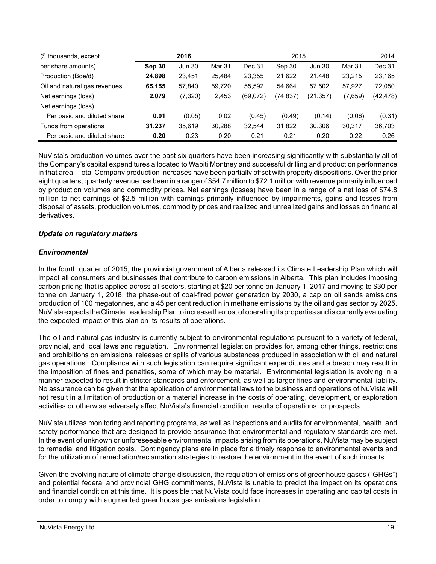| (\$ thousands, except        | 2016<br>2015 |               |        |          |          | 2014          |         |           |
|------------------------------|--------------|---------------|--------|----------|----------|---------------|---------|-----------|
| per share amounts)           | Sep 30       | <b>Jun 30</b> | Mar 31 | Dec 31   | Sep 30   | <b>Jun 30</b> | Mar 31  | Dec 31    |
| Production (Boe/d)           | 24,898       | 23,451        | 25.484 | 23,355   | 21,622   | 21,448        | 23,215  | 23,165    |
| Oil and natural gas revenues | 65,155       | 57.840        | 59,720 | 55,592   | 54,664   | 57,502        | 57.927  | 72,050    |
| Net earnings (loss)          | 2,079        | (7, 320)      | 2,453  | (69,072) | (74,837) | (21,357)      | (7,659) | (42, 478) |
| Net earnings (loss)          |              |               |        |          |          |               |         |           |
| Per basic and diluted share  | 0.01         | (0.05)        | 0.02   | (0.45)   | (0.49)   | (0.14)        | (0.06)  | (0.31)    |
| Funds from operations        | 31,237       | 35,619        | 30,288 | 32,544   | 31,822   | 30,306        | 30,317  | 36,703    |
| Per basic and diluted share  | 0.20         | 0.23          | 0.20   | 0.21     | 0.21     | 0.20          | 0.22    | 0.26      |

NuVista's production volumes over the past six quarters have been increasing significantly with substantially all of the Company's capital expenditures allocated to Wapiti Montney and successful drilling and production performance in that area. Total Company production increases have been partially offset with property dispositions. Over the prior eight quarters, quarterly revenue has been in a range of \$54.7 million to \$72.1 million with revenue primarily influenced by production volumes and commodity prices. Net earnings (losses) have been in a range of a net loss of \$74.8 million to net earnings of \$2.5 million with earnings primarily influenced by impairments, gains and losses from disposal of assets, production volumes, commodity prices and realized and unrealized gains and losses on financial derivatives.

# *Update on regulatory matters*

# *Environmental*

In the fourth quarter of 2015, the provincial government of Alberta released its Climate Leadership Plan which will impact all consumers and businesses that contribute to carbon emissions in Alberta. This plan includes imposing carbon pricing that is applied across all sectors, starting at \$20 per tonne on January 1, 2017 and moving to \$30 per tonne on January 1, 2018, the phase-out of coal-fired power generation by 2030, a cap on oil sands emissions production of 100 megatonnes, and a 45 per cent reduction in methane emissions by the oil and gas sector by 2025. NuVista expects the Climate Leadership Plan to increase the cost of operating its properties and is currently evaluating the expected impact of this plan on its results of operations.

The oil and natural gas industry is currently subject to environmental regulations pursuant to a variety of federal, provincial, and local laws and regulation. Environmental legislation provides for, among other things, restrictions and prohibitions on emissions, releases or spills of various substances produced in association with oil and natural gas operations. Compliance with such legislation can require significant expenditures and a breach may result in the imposition of fines and penalties, some of which may be material. Environmental legislation is evolving in a manner expected to result in stricter standards and enforcement, as well as larger fines and environmental liability. No assurance can be given that the application of environmental laws to the business and operations of NuVista will not result in a limitation of production or a material increase in the costs of operating, development, or exploration activities or otherwise adversely affect NuVista's financial condition, results of operations, or prospects.

NuVista utilizes monitoring and reporting programs, as well as inspections and audits for environmental, health, and safety performance that are designed to provide assurance that environmental and regulatory standards are met. In the event of unknown or unforeseeable environmental impacts arising from its operations, NuVista may be subject to remedial and litigation costs. Contingency plans are in place for a timely response to environmental events and for the utilization of remediation/reclamation strategies to restore the environment in the event of such impacts.

Given the evolving nature of climate change discussion, the regulation of emissions of greenhouse gases ("GHGs") and potential federal and provincial GHG commitments, NuVista is unable to predict the impact on its operations and financial condition at this time. It is possible that NuVista could face increases in operating and capital costs in order to comply with augmented greenhouse gas emissions legislation.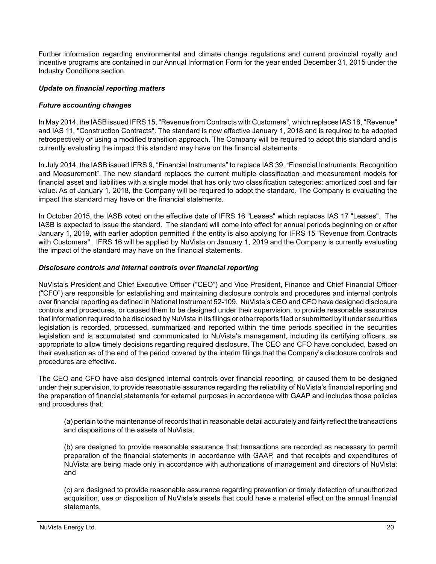Further information regarding environmental and climate change regulations and current provincial royalty and incentive programs are contained in our Annual Information Form for the year ended December 31, 2015 under the Industry Conditions section.

#### *Update on financial reporting matters*

#### *Future accounting changes*

In May 2014, the IASB issued IFRS 15, "Revenue from Contracts with Customers", which replaces IAS 18, "Revenue" and IAS 11, "Construction Contracts". The standard is now effective January 1, 2018 and is required to be adopted retrospectively or using a modified transition approach. The Company will be required to adopt this standard and is currently evaluating the impact this standard may have on the financial statements.

In July 2014, the IASB issued IFRS 9, "Financial Instruments" to replace IAS 39, "Financial Instruments: Recognition and Measurement". The new standard replaces the current multiple classification and measurement models for financial asset and liabilities with a single model that has only two classification categories: amortized cost and fair value. As of January 1, 2018, the Company will be required to adopt the standard. The Company is evaluating the impact this standard may have on the financial statements.

In October 2015, the IASB voted on the effective date of IFRS 16 "Leases" which replaces IAS 17 "Leases". The IASB is expected to issue the standard. The standard will come into effect for annual periods beginning on or after January 1, 2019, with earlier adoption permitted if the entity is also applying for IFRS 15 "Revenue from Contracts with Customers". IFRS 16 will be applied by NuVista on January 1, 2019 and the Company is currently evaluating the impact of the standard may have on the financial statements.

#### *Disclosure controls and internal controls over financial reporting*

NuVista's President and Chief Executive Officer ("CEO") and Vice President, Finance and Chief Financial Officer ("CFO") are responsible for establishing and maintaining disclosure controls and procedures and internal controls over financial reporting as defined in National Instrument 52-109. NuVista's CEO and CFO have designed disclosure controls and procedures, or caused them to be designed under their supervision, to provide reasonable assurance that information required to be disclosed by NuVista in its filings or other reports filed or submitted by it under securities legislation is recorded, processed, summarized and reported within the time periods specified in the securities legislation and is accumulated and communicated to NuVista's management, including its certifying officers, as appropriate to allow timely decisions regarding required disclosure. The CEO and CFO have concluded, based on their evaluation as of the end of the period covered by the interim filings that the Company's disclosure controls and procedures are effective.

The CEO and CFO have also designed internal controls over financial reporting, or caused them to be designed under their supervision, to provide reasonable assurance regarding the reliability of NuVista's financial reporting and the preparation of financial statements for external purposes in accordance with GAAP and includes those policies and procedures that:

(a) pertain to the maintenance of records that in reasonable detail accurately and fairly reflect the transactions and dispositions of the assets of NuVista;

(b) are designed to provide reasonable assurance that transactions are recorded as necessary to permit preparation of the financial statements in accordance with GAAP, and that receipts and expenditures of NuVista are being made only in accordance with authorizations of management and directors of NuVista; and

(c) are designed to provide reasonable assurance regarding prevention or timely detection of unauthorized acquisition, use or disposition of NuVista's assets that could have a material effect on the annual financial statements.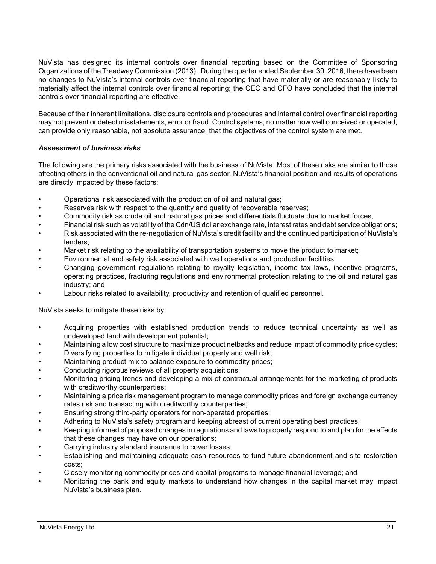NuVista has designed its internal controls over financial reporting based on the Committee of Sponsoring Organizations of the Treadway Commission (2013). During the quarter ended September 30, 2016, there have been no changes to NuVista's internal controls over financial reporting that have materially or are reasonably likely to materially affect the internal controls over financial reporting; the CEO and CFO have concluded that the internal controls over financial reporting are effective.

Because of their inherent limitations, disclosure controls and procedures and internal control over financial reporting may not prevent or detect misstatements, error or fraud. Control systems, no matter how well conceived or operated, can provide only reasonable, not absolute assurance, that the objectives of the control system are met.

## *Assessment of business risks*

The following are the primary risks associated with the business of NuVista. Most of these risks are similar to those affecting others in the conventional oil and natural gas sector. NuVista's financial position and results of operations are directly impacted by these factors:

- Operational risk associated with the production of oil and natural gas;
- Reserves risk with respect to the quantity and quality of recoverable reserves;
- Commodity risk as crude oil and natural gas prices and differentials fluctuate due to market forces;
- Financial risk such as volatility of the Cdn/US dollar exchange rate, interest rates and debt service obligations;
- Risk associated with the re-negotiation of NuVista's credit facility and the continued participation of NuVista's lenders;
- Market risk relating to the availability of transportation systems to move the product to market;
- Environmental and safety risk associated with well operations and production facilities;
- Changing government regulations relating to royalty legislation, income tax laws, incentive programs, operating practices, fracturing regulations and environmental protection relating to the oil and natural gas industry; and
- Labour risks related to availability, productivity and retention of qualified personnel.

NuVista seeks to mitigate these risks by:

- Acquiring properties with established production trends to reduce technical uncertainty as well as undeveloped land with development potential;
- Maintaining a low cost structure to maximize product netbacks and reduce impact of commodity price cycles;
- Diversifying properties to mitigate individual property and well risk;
- Maintaining product mix to balance exposure to commodity prices;
- Conducting rigorous reviews of all property acquisitions;
- Monitoring pricing trends and developing a mix of contractual arrangements for the marketing of products with creditworthy counterparties;
- Maintaining a price risk management program to manage commodity prices and foreign exchange currency rates risk and transacting with creditworthy counterparties;
- Ensuring strong third-party operators for non-operated properties;
- Adhering to NuVista's safety program and keeping abreast of current operating best practices;
- Keeping informed of proposed changes in regulations and laws to properly respond to and plan for the effects that these changes may have on our operations;
- Carrying industry standard insurance to cover losses;
- Establishing and maintaining adequate cash resources to fund future abandonment and site restoration costs;
- Closely monitoring commodity prices and capital programs to manage financial leverage; and
- Monitoring the bank and equity markets to understand how changes in the capital market may impact NuVista's business plan.